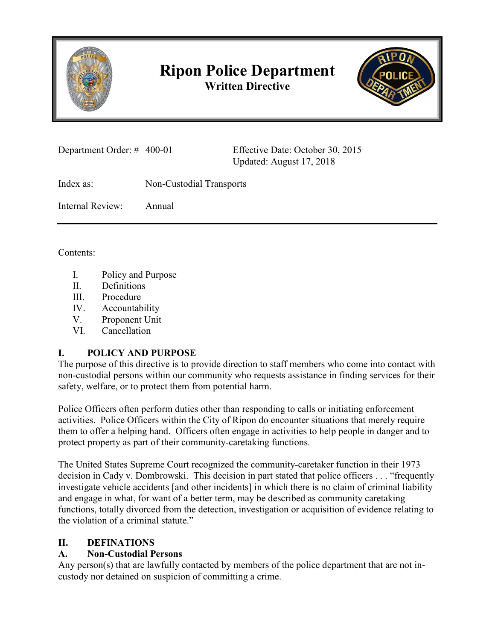

# **Ripon Police Department Written Directive**



| Department Order: # 400-01 |                          | Effective Date: October 30, 2015<br>Updated: August 17, 2018 |
|----------------------------|--------------------------|--------------------------------------------------------------|
| Index as:                  | Non-Custodial Transports |                                                              |
| Internal Review:           | Annual                   |                                                              |
|                            |                          |                                                              |

Contents:

- I. Policy and Purpose
- II. Definitions
- III. Procedure
- IV. Accountability
- V. Proponent Unit
- VI. Cancellation

# **I. POLICY AND PURPOSE**

The purpose of this directive is to provide direction to staff members who come into contact with non-custodial persons within our community who requests assistance in finding services for their safety, welfare, or to protect them from potential harm.

Police Officers often perform duties other than responding to calls or initiating enforcement activities. Police Officers within the City of Ripon do encounter situations that merely require them to offer a helping hand. Officers often engage in activities to help people in danger and to protect property as part of their community-caretaking functions.

The United States Supreme Court recognized the community-caretaker function in their 1973 decision in Cady v. Dombrowski. This decision in part stated that police officers . . . "frequently investigate vehicle accidents [and other incidents] in which there is no claim of criminal liability and engage in what, for want of a better term, may be described as community caretaking functions, totally divorced from the detection, investigation or acquisition of evidence relating to the violation of a criminal statute."

### **II. DEFINATIONS**

# **A. Non-Custodial Persons**

Any person(s) that are lawfully contacted by members of the police department that are not incustody nor detained on suspicion of committing a crime.